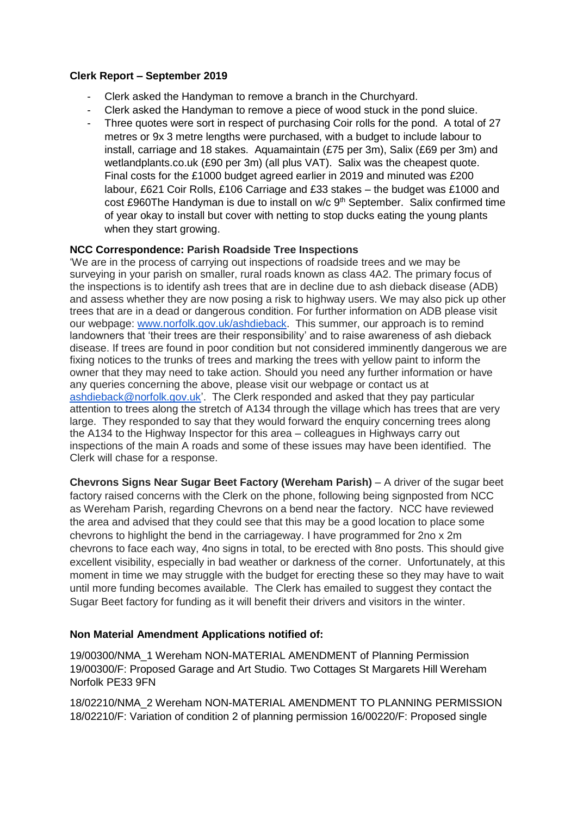### **Clerk Report – September 2019**

- Clerk asked the Handyman to remove a branch in the Churchyard.
- Clerk asked the Handyman to remove a piece of wood stuck in the pond sluice.
- Three quotes were sort in respect of purchasing Coir rolls for the pond. A total of 27 metres or 9x 3 metre lengths were purchased, with a budget to include labour to install, carriage and 18 stakes. Aquamaintain (£75 per 3m), Salix (£69 per 3m) and wetlandplants.co.uk (£90 per 3m) (all plus VAT). Salix was the cheapest quote. Final costs for the £1000 budget agreed earlier in 2019 and minuted was £200 labour, £621 Coir Rolls, £106 Carriage and £33 stakes – the budget was £1000 and cost £960The Handyman is due to install on w/c 9<sup>th</sup> September. Salix confirmed time of year okay to install but cover with netting to stop ducks eating the young plants when they start growing.

## **NCC Correspondence: Parish Roadside Tree Inspections**

'We are in the process of carrying out inspections of roadside trees and we may be surveying in your parish on smaller, rural roads known as class 4A2. The primary focus of the inspections is to identify ash trees that are in decline due to ash dieback disease (ADB) and assess whether they are now posing a risk to highway users. We may also pick up other trees that are in a dead or dangerous condition. For further information on ADB please visit our webpage: [www.norfolk.gov.uk/ashdieback.](http://www.norfolk.gov.uk/ashdieback) This summer, our approach is to remind landowners that 'their trees are their responsibility' and to raise awareness of ash dieback disease. If trees are found in poor condition but not considered imminently dangerous we are fixing notices to the trunks of trees and marking the trees with yellow paint to inform the owner that they may need to take action. Should you need any further information or have any queries concerning the above, please visit our webpage or contact us at [ashdieback@norfolk.gov.uk'.](mailto:ashdieback@norfolk.gov.uk) The Clerk responded and asked that they pay particular attention to trees along the stretch of A134 through the village which has trees that are very large. They responded to say that they would forward the enquiry concerning trees along the A134 to the Highway Inspector for this area – colleagues in Highways carry out inspections of the main A roads and some of these issues may have been identified. The Clerk will chase for a response.

**Chevrons Signs Near Sugar Beet Factory (Wereham Parish)** – A driver of the sugar beet factory raised concerns with the Clerk on the phone, following being signposted from NCC as Wereham Parish, regarding Chevrons on a bend near the factory. NCC have reviewed the area and advised that they could see that this may be a good location to place some chevrons to highlight the bend in the carriageway. I have programmed for 2no x 2m chevrons to face each way, 4no signs in total, to be erected with 8no posts. This should give excellent visibility, especially in bad weather or darkness of the corner. Unfortunately, at this moment in time we may struggle with the budget for erecting these so they may have to wait until more funding becomes available. The Clerk has emailed to suggest they contact the Sugar Beet factory for funding as it will benefit their drivers and visitors in the winter.

# **Non Material Amendment Applications notified of:**

19/00300/NMA\_1 Wereham NON-MATERIAL AMENDMENT of Planning Permission 19/00300/F: Proposed Garage and Art Studio. Two Cottages St Margarets Hill Wereham Norfolk PE33 9FN

18/02210/NMA\_2 Wereham NON-MATERIAL AMENDMENT TO PLANNING PERMISSION 18/02210/F: Variation of condition 2 of planning permission 16/00220/F: Proposed single